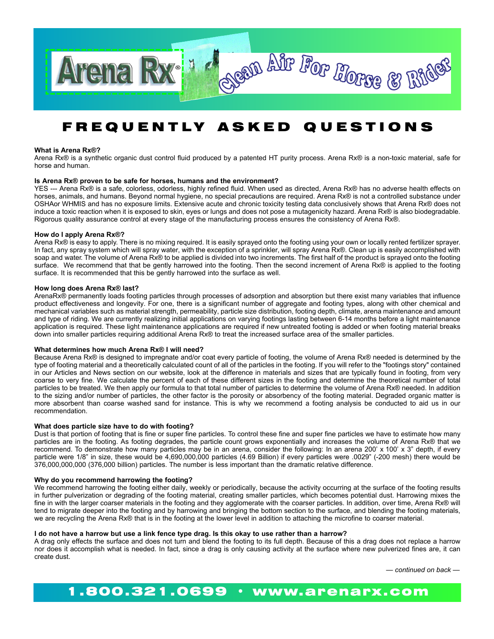

# FREQUENTLY ASKED QUESTIONS

#### **What is Arena Rx®?**

Arena Rx® is a synthetic organic dust control fluid produced by a patented HT purity process. Arena Rx® is a non-toxic material, safe for horse and human.

#### **Is Arena Rx® proven to be safe for horses, humans and the environment?**

YES --- Arena Rx® is a safe, colorless, odorless, highly refined fluid. When used as directed, Arena Rx® has no adverse health effects on horses, animals, and humans. Beyond normal hygiene, no special precautions are required. Arena Rx® is not a controlled substance under OSHAor WHMIS and has no exposure limits. Extensive acute and chronic toxicity testing data conclusively shows that Arena Rx® does not induce a toxic reaction when it is exposed to skin, eyes or lungs and does not pose a mutagenicity hazard. Arena Rx® is also biodegradable. Rigorous quality assurance control at every stage of the manufacturing process ensures the consistency of Arena Rx®.

#### **How do I apply Arena Rx®?**

Arena Rx® is easy to apply. There is no mixing required. It is easily sprayed onto the footing using your own or locally rented fertilizer sprayer. In fact, any spray system which will spray water, with the exception of a sprinkler, will spray Arena Rx®. Clean up is easily accomplished with soap and water. The volume of Arena Rx® to be applied is divided into two increments. The first half of the product is sprayed onto the footing surface. We recommend that that be gently harrowed into the footing. Then the second increment of Arena Rx® is applied to the footing surface. It is recommended that this be gently harrowed into the surface as well.

#### **How long does Arena Rx® last?**

ArenaRx® permanently loads footing particles through processes of adsorption and absorption but there exist many variables that influence product effectiveness and longevity. For one, there is a significant number of aggregate and footing types, along with other chemical and mechanical variables such as material strength, permeability, particle size distribution, footing depth, climate, arena maintenance and amount and type of riding. We are currently realizing initial applications on varying footings lasting between 6-14 months before a light maintenance application is required. These light maintenance applications are required if new untreated footing is added or when footing material breaks down into smaller particles requiring additional Arena Rx® to treat the increased surface area of the smaller particles.

#### **What determines how much Arena Rx® I will need?**

Because Arena Rx® is designed to impregnate and/or coat every particle of footing, the volume of Arena Rx® needed is determined by the type of footing material and a theoretically calculated count of all of the particles in the footing. If you will refer to the "footings story" contained in our Articles and News section on our website, look at the difference in materials and sizes that are typically found in footing, from very coarse to very fine. We calculate the percent of each of these different sizes in the footing and determine the theoretical number of total particles to be treated. We then apply our formula to that total number of particles to determine the volume of Arena Rx® needed. In addition to the sizing and/or number of particles, the other factor is the porosity or absorbency of the footing material. Degraded organic matter is more absorbent than coarse washed sand for instance. This is why we recommend a footing analysis be conducted to aid us in our recommendation.

#### **What does particle size have to do with footing?**

Dust is that portion of footing that is fine or super fine particles. To control these fine and super fine particles we have to estimate how many particles are in the footing. As footing degrades, the particle count grows exponentially and increases the volume of Arena Rx® that we recommend. To demonstrate how many particles may be in an arena, consider the following: In an arena 200' x 100' x 3" depth, if every particle were 1/8" in size, these would be 4,690,000,000 particles (4.69 Billion) if every particles were .0029" (-200 mesh) there would be 376,000,000,000 (376,000 billion) particles. The number is less important than the dramatic relative difference.

#### **Why do you recommend harrowing the footing?**

We recommend harrowing the footing either daily, weekly or periodically, because the activity occurring at the surface of the footing results in further pulverization or degrading of the footing material, creating smaller particles, which becomes potential dust. Harrowing mixes the fine in with the larger coarser materials in the footing and they agglomerate with the coarser particles. In addition, over time, Arena Rx® will tend to migrate deeper into the footing and by harrowing and bringing the bottom section to the surface, and blending the footing materials, we are recycling the Arena Rx® that is in the footing at the lower level in addition to attaching the microfine to coarser material.

#### **I do not have a harrow but use a link fence type drag. Is this okay to use rather than a harrow?**

A drag only effects the surface and does not turn and blend the footing to its full depth. Because of this a drag does not replace a harrow nor does it accomplish what is needed. In fact, since a drag is only causing activity at the surface where new pulverized fines are, it can create dust.

*— continued on back —*

## 1.800.321.0699 · www.arenarx.com